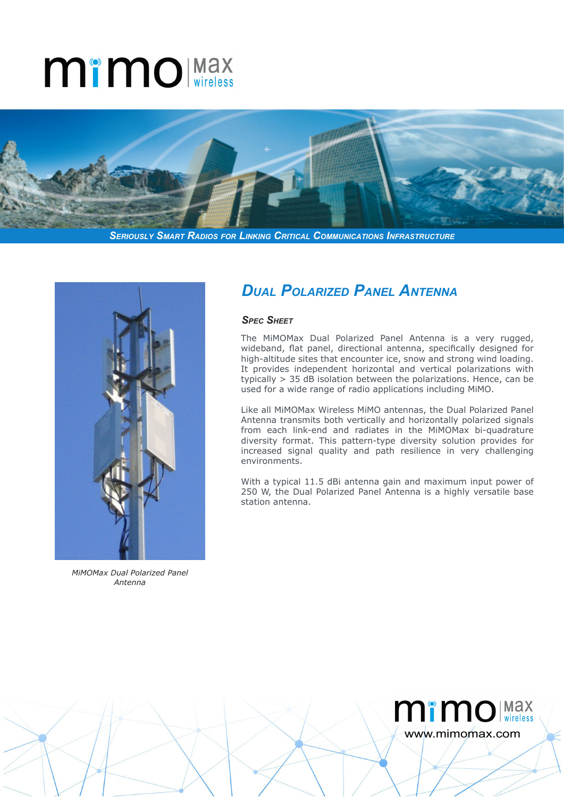# **MimO** Max



*Seriously Smart Radios for Linking Critical Communications Infrastructure*



*MiMOMax Dual Polarized Panel Antenna*

### *Dual Polarized Panel Antenna*

#### *Spec Sheet*

The MiMOMax Dual Polarized Panel Antenna is a very rugged, wideband, flat panel, directional antenna, specifically designed for high-altitude sites that encounter ice, snow and strong wind loading. It provides independent horizontal and vertical polarizations with typically > 35 dB isolation between the polarizations. Hence, can be used for a wide range of radio applications including MiMO.

Like all MiMOMax Wireless MiMO antennas, the Dual Polarized Panel Antenna transmits both vertically and horizontally polarized signals from each link-end and radiates in the MiMOMax bi-quadrature diversity format. This pattern-type diversity solution provides for increased signal quality and path resilience in very challenging environments.

With a typical 11.5 dBi antenna gain and maximum input power of 250 W, the Dual Polarized Panel Antenna is a highly versatile base station antenna.

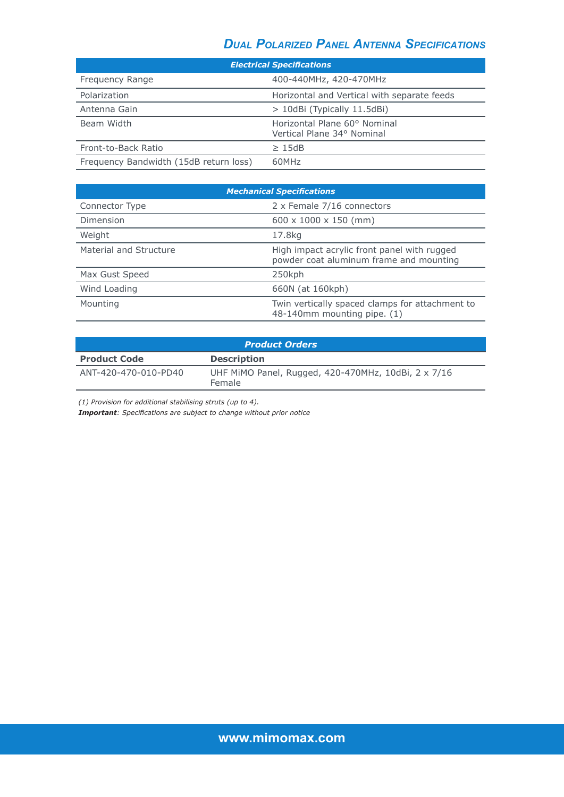## *Dual Polarized Panel Antenna Specifications*

| <b>Electrical Specifications</b>       |                                                            |
|----------------------------------------|------------------------------------------------------------|
| Frequency Range                        | 400-440MHz, 420-470MHz                                     |
| Polarization                           | Horizontal and Vertical with separate feeds                |
| Antenna Gain                           | > 10dBi (Typically 11.5dBi)                                |
| Beam Width                             | Horizontal Plane 60° Nominal<br>Vertical Plane 34° Nominal |
| Front-to-Back Ratio                    | >15dB                                                      |
| Frequency Bandwidth (15dB return loss) | 60MHz                                                      |

| <b>Mechanical Specifications</b> |                                                                                        |
|----------------------------------|----------------------------------------------------------------------------------------|
| Connector Type                   | 2 x Female 7/16 connectors                                                             |
| Dimension                        | $600 \times 1000 \times 150$ (mm)                                                      |
| Weight                           | 17.8kg                                                                                 |
| Material and Structure           | High impact acrylic front panel with rugged<br>powder coat aluminum frame and mounting |
| Max Gust Speed                   | 250kph                                                                                 |
| Wind Loading                     | 660N (at 160kph)                                                                       |
| Mounting                         | Twin vertically spaced clamps for attachment to<br>48-140mm mounting pipe. (1)         |

| <b>Product Orders</b> |                                                               |  |
|-----------------------|---------------------------------------------------------------|--|
| <b>Product Code</b>   | <b>Description</b>                                            |  |
| ANT-420-470-010-PD40  | UHF MiMO Panel, Rugged, 420-470MHz, 10dBi, 2 x 7/16<br>Female |  |

*(1) Provision for additional stabilising struts (up to 4).*

*Important: Specifications are subject to change without prior notice*